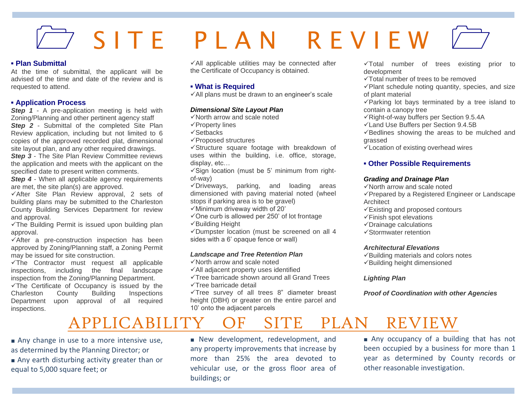# $\rightarrow$  SITE PIAN REVIEW

#### **▪ Plan Submittal**

At the time of submittal, the applicant will be advised of the time and date of the review and is requested to attend.

#### **▪ Application Process**

**Step 1** - A pre-application meeting is held with Zoning/Planning and other pertinent agency staff **Step 2** - Submittal of the completed Site Plan Review application, including but not limited to 6 copies of the approved recorded plat, dimensional site layout plan, and any other required drawings.

**Step 3** - The Site Plan Review Committee reviews the application and meets with the applicant on the specified date to present written comments.

**Step 4** - When all applicable agency requirements are met, the site plan(s) are approved.

✓After Site Plan Review approval, 2 sets of building plans may be submitted to the Charleston County Building Services Department for review and approval.

✓The Building Permit is issued upon building plan approval.

✓After a pre-construction inspection has been approved by Zoning/Planning staff, a Zoning Permit may be issued for site construction.

✓The Contractor must request all applicable inspections, including the final landscape inspection from the Zoning/Planning Department.

✓The Certificate of Occupancy is issued by the Charleston County Building Inspections Department upon approval of all required inspections.

 $\checkmark$ All applicable utilities may be connected after the Certificate of Occupancy is obtained.

#### **▪ What is Required**

✓All plans must be drawn to an engineer's scale

#### *Dimensional Site Layout Plan*

- ✓North arrow and scale noted
- ✓Property lines
- ✓Setbacks
- ✓Proposed structures

✓Structure square footage with breakdown of uses within the building, i.e. office, storage, display, etc…

✓Sign location (must be 5' minimum from rightof-way)

✓Driveways, parking, and loading areas dimensioned with paving material noted (wheel stops if parking area is to be gravel)

✓Minimum driveway width of 20'

✓One curb is allowed per 250' of lot frontage ✓Building Height

✓Dumpster location (must be screened on all 4 sides with a 6' opaque fence or wall)

#### *Landscape and Tree Retention Plan*

✓North arrow and scale noted

- ✓All adjacent property uses identified
- ✓Tree barricade shown around all Grand Trees ✓Tree barricade detail

✓Tree survey of all trees 8" diameter breast height (DBH) or greater on the entire parcel and 10' onto the adjacent parcels

✓Total number of trees existing prior to development

✓Total number of trees to be removed

✓Plant schedule noting quantity, species, and size of plant material

✓Parking lot bays terminated by a tree island to contain a canopy tree

- ✓Right-of-way buffers per Section 9.5.4A
- ✓Land Use Buffers per Section 9.4.5B
- ✓Bedlines showing the areas to be mulched and grassed

✓Location of existing overhead wires

#### **▪ Other Possible Requirements**

#### *Grading and Drainage Plan*

✓North arrow and scale noted

✓Prepared by a Registered Engineer or Landscape **Architect** 

- $\checkmark$ Existing and proposed contours
- ✓Finish spot elevations
- ✓Drainage calculations
- ✓Stormwater retention

#### *Architectural Elevations*

- ✓Building materials and colors notes
- ✓Building height dimensioned

#### *Lighting Plan*

*Proof of Coordination with other Agencies*

## APPLICABILITY OF SITE PLAN REVIEW

■ Any change in use to a more intensive use, as determined by the Planning Director; or

■ Any earth disturbing activity greater than or equal to 5,000 square feet; or

■ New development, redevelopment, and any property improvements that increase by more than 25% the area devoted to vehicular use, or the gross floor area of buildings; or

■ Any occupancy of a building that has not been occupied by a business for more than 1 year as determined by County records or other reasonable investigation.